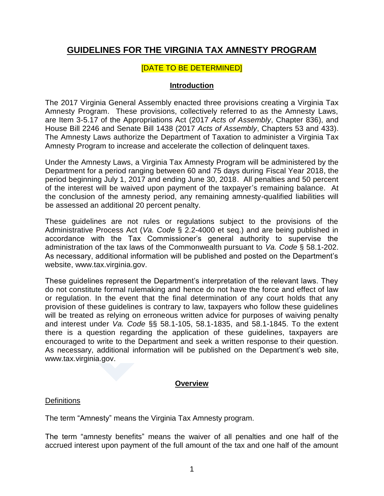# **GUIDELINES FOR THE VIRGINIA TAX AMNESTY PROGRAM**

# [DATE TO BE DETERMINED]

# **Introduction**

The 2017 Virginia General Assembly enacted three provisions creating a Virginia Tax Amnesty Program. These provisions, collectively referred to as the Amnesty Laws, are Item 3-5.17 of the Appropriations Act (2017 *Acts of Assembly*, Chapter 836), and House Bill 2246 and Senate Bill 1438 (2017 *Acts of Assembly*, Chapters 53 and 433). The Amnesty Laws authorize the Department of Taxation to administer a Virginia Tax Amnesty Program to increase and accelerate the collection of delinquent taxes.

Under the Amnesty Laws, a Virginia Tax Amnesty Program will be administered by the Department for a period ranging between 60 and 75 days during Fiscal Year 2018, the period beginning July 1, 2017 and ending June 30, 2018. All penalties and 50 percent of the interest will be waived upon payment of the taxpayer's remaining balance. At the conclusion of the amnesty period, any remaining amnesty-qualified liabilities will be assessed an additional 20 percent penalty.

These guidelines are not rules or regulations subject to the provisions of the Administrative Process Act (*Va. Code* § 2.2-4000 et seq.) and are being published in accordance with the Tax Commissioner's general authority to supervise the administration of the tax laws of the Commonwealth pursuant to *Va. Code* § 58.1-202. As necessary, additional information will be published and posted on the Department's website, www.tax.virginia.gov.

These guidelines represent the Department's interpretation of the relevant laws. They do not constitute formal rulemaking and hence do not have the force and effect of law or regulation. In the event that the final determination of any court holds that any provision of these guidelines is contrary to law, taxpayers who follow these guidelines will be treated as relying on erroneous written advice for purposes of waiving penalty and interest under *Va. Code* §§ 58.1-105, 58.1-1835, and 58.1-1845. To the extent there is a question regarding the application of these guidelines, taxpayers are encouraged to write to the Department and seek a written response to their question. As necessary, additional information will be published on the Department's web site, [www.tax.virginia.gov.](http://www.tax.virginia.gov/)

## **Overview**

## **Definitions**

The term "Amnesty" means the Virginia Tax Amnesty program.

The term "amnesty benefits" means the waiver of all penalties and one half of the accrued interest upon payment of the full amount of the tax and one half of the amount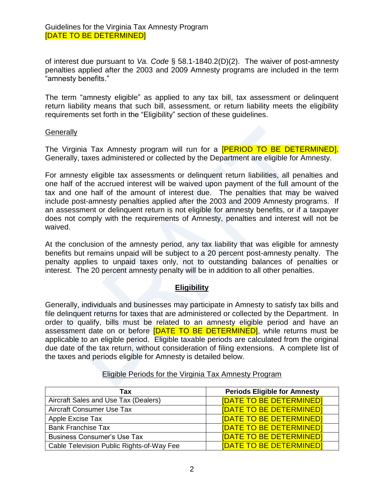of interest due pursuant to *Va. Code* § 58.1-1840.2(D)(2). The waiver of post-amnesty penalties applied after the 2003 and 2009 Amnesty programs are included in the term "amnesty benefits."

The term "amnesty eligible" as applied to any tax bill, tax assessment or delinquent return liability means that such bill, assessment, or return liability meets the eligibility requirements set forth in the "Eligibility" section of these guidelines.

#### **Generally**

The Virginia Tax Amnesty program will run for a **[PERIOD TO BE DETERMINED]**. Generally, taxes administered or collected by the Department are eligible for Amnesty.

For amnesty eligible tax assessments or delinquent return liabilities, all penalties and one half of the accrued interest will be waived upon payment of the full amount of the tax and one half of the amount of interest due. The penalties that may be waived include post-amnesty penalties applied after the 2003 and 2009 Amnesty programs. If an assessment or delinquent return is not eligible for amnesty benefits, or if a taxpayer does not comply with the requirements of Amnesty, penalties and interest will not be waived.

At the conclusion of the amnesty period, any tax liability that was eligible for amnesty benefits but remains unpaid will be subject to a 20 percent post-amnesty penalty. The penalty applies to unpaid taxes only, not to outstanding balances of penalties or interest. The 20 percent amnesty penalty will be in addition to all other penalties.

# **Eligibility**

Generally, individuals and businesses may participate in Amnesty to satisfy tax bills and file delinquent returns for taxes that are administered or collected by the Department. In order to qualify, bills must be related to an amnesty eligible period and have an assessment date on or before **[DATE TO BE DETERMINED]**, while returns must be applicable to an eligible period. Eligible taxable periods are calculated from the original due date of the tax return, without consideration of filing extensions. A complete list of the taxes and periods eligible for Amnesty is detailed below.

| Tax                                       | <b>Periods Eligible for Amnesty</b> |
|-------------------------------------------|-------------------------------------|
| Aircraft Sales and Use Tax (Dealers)      | <b>[DATE TO BE DETERMINED]</b>      |
| Aircraft Consumer Use Tax                 | <b>IDATE TO BE DETERMINEDI</b>      |
| Apple Excise Tax                          | <b>[DATE TO BE DETERMINED]</b>      |
| <b>Bank Franchise Tax</b>                 | <b>[DATE TO BE DETERMINED]</b>      |
| <b>Business Consumer's Use Tax</b>        | <b>IDATE TO BE DETERMINEDI</b>      |
| Cable Television Public Rights-of-Way Fee | <b>[DATE TO BE DETERMINED]</b>      |

## Eligible Periods for the Virginia Tax Amnesty Program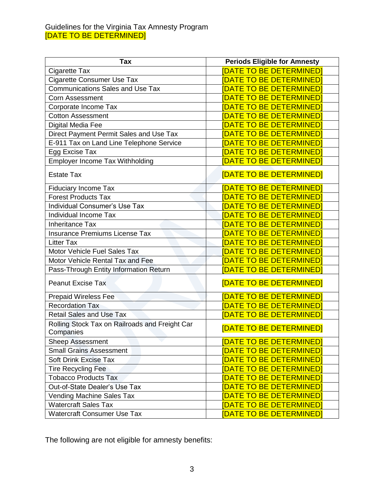#### Guidelines for the Virginia Tax Amnesty Program [DATE TO BE DETERMINED]

| <b>Tax</b>                                                  | <b>Periods Eligible for Amnesty</b> |
|-------------------------------------------------------------|-------------------------------------|
| Cigarette Tax                                               | <b>[DATE TO BE DETERMINED]</b>      |
| <b>Cigarette Consumer Use Tax</b>                           | <u>IDATE TO BE DETERMINEDI</u>      |
| <b>Communications Sales and Use Tax</b>                     | <b>DATE TO BE DETERMINED</b>        |
| <b>Corn Assessment</b>                                      | <b>DATE TO BE DETERMINED</b>        |
| Corporate Income Tax                                        | <b>DATE TO BE DETERMINED</b>        |
| <b>Cotton Assessment</b>                                    | <b>DATE TO BE DETERMINED</b>        |
| Digital Media Fee                                           | <b>DATE TO BE DETERMINED</b>        |
| Direct Payment Permit Sales and Use Tax                     | <b>DATE TO BE DETERMINED</b>        |
| E-911 Tax on Land Line Telephone Service                    | <b>DATE TO BE DETERMINED</b>        |
| Egg Excise Tax                                              | DATE TO BE DETERMINED]              |
| <b>Employer Income Tax Withholding</b>                      | <b>[DATE TO BE DETERMINED]</b>      |
| <b>Estate Tax</b>                                           | [DATE TO BE DETERMINED]             |
| <b>Fiduciary Income Tax</b>                                 | DATE TO BE DETERMINED               |
| <b>Forest Products Tax</b>                                  | <b>DATE TO BE DETERMINED</b>        |
| Individual Consumer's Use Tax                               | <u> [DATE TO BE DETERMINED]</u>     |
| Individual Income Tax                                       | <b>DATE TO BE DETERMINEDI</b>       |
| <b>Inheritance Tax</b>                                      | <b>DATE TO BE DETERMINED</b>        |
| Insurance Premiums License Tax                              | <b>DATE TO BE DETERMINEDI</b>       |
| <b>Litter Tax</b>                                           | <b>DATE TO BE DETERMINED</b>        |
| Motor Vehicle Fuel Sales Tax                                | <b>DATE TO BE DETERMINED</b>        |
| Motor Vehicle Rental Tax and Fee                            | <b>[DATE TO BE DETERMINED]</b>      |
| Pass-Through Entity Information Return                      | <b>DATE TO BE DETERMINED</b>        |
| <b>Peanut Excise Tax</b>                                    | [DATE TO BE DETERMINED]             |
| <b>Prepaid Wireless Fee</b>                                 | <b>[DATE TO BE DETERMINED]</b>      |
| <b>Recordation Tax</b>                                      | <b>[DATE TO BE DETERMINED]</b>      |
| <b>Retail Sales and Use Tax</b>                             | <b>DATE TO BE DETERMINED</b>        |
| Rolling Stock Tax on Railroads and Freight Car<br>Companies | <b>[DATE TO BE DETERMINED]</b>      |
| <b>Sheep Assessment</b>                                     | <b>DATE TO BE DETERMINED</b>        |
| <b>Small Grains Assessment</b>                              | <b>DATE TO BE DETERMINED</b>        |
| <b>Soft Drink Excise Tax</b>                                | <b>DATE TO BE DETERMINEDI</b>       |
| <b>Tire Recycling Fee</b>                                   | <b>DATE TO BE DETERMINED</b>        |
| <b>Tobacco Products Tax</b>                                 | <b>DATE TO BE DETERMINED</b>        |
| Out-of-State Dealer's Use Tax                               | <b>DATE TO BE DETERMINED</b>        |
| <b>Vending Machine Sales Tax</b>                            | <b>DATE TO BE DETERMINED</b>        |
| <b>Watercraft Sales Tax</b>                                 | <b>DATE TO BE DETERMINED</b>        |
| <b>Watercraft Consumer Use Tax</b>                          | <b>[DATE TO BE DETERMINED]</b>      |

The following are not eligible for amnesty benefits: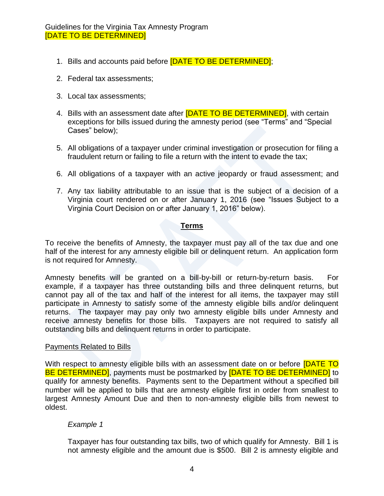- 1. Bills and accounts paid before **[DATE TO BE DETERMINED]**;
- 2. Federal tax assessments;
- 3. Local tax assessments;
- 4. Bills with an assessment date after **[DATE TO BE DETERMINED]**, with certain exceptions for bills issued during the amnesty period (see "Terms" and "Special Cases" below);
- 5. All obligations of a taxpayer under criminal investigation or prosecution for filing a fraudulent return or failing to file a return with the intent to evade the tax;
- 6. All obligations of a taxpayer with an active jeopardy or fraud assessment; and
- 7. Any tax liability attributable to an issue that is the subject of a decision of a Virginia court rendered on or after January 1, 2016 (see "Issues Subject to a Virginia Court Decision on or after January 1, 2016" below).

#### **Terms**

To receive the benefits of Amnesty, the taxpayer must pay all of the tax due and one half of the interest for any amnesty eligible bill or delinquent return. An application form is not required for Amnesty.

Amnesty benefits will be granted on a bill-by-bill or return-by-return basis. For example, if a taxpayer has three outstanding bills and three delinquent returns, but cannot pay all of the tax and half of the interest for all items, the taxpayer may still participate in Amnesty to satisfy some of the amnesty eligible bills and/or delinquent returns. The taxpayer may pay only two amnesty eligible bills under Amnesty and receive amnesty benefits for those bills. Taxpayers are not required to satisfy all outstanding bills and delinquent returns in order to participate.

#### Payments Related to Bills

With respect to amnesty eligible bills with an assessment date on or before **[DATE TO** BE DETERMINED], payments must be postmarked by **[DATE TO BE DETERMINED]** to qualify for amnesty benefits. Payments sent to the Department without a specified bill number will be applied to bills that are amnesty eligible first in order from smallest to largest Amnesty Amount Due and then to non-amnesty eligible bills from newest to oldest.

#### *Example 1*

Taxpayer has four outstanding tax bills, two of which qualify for Amnesty. Bill 1 is not amnesty eligible and the amount due is \$500. Bill 2 is amnesty eligible and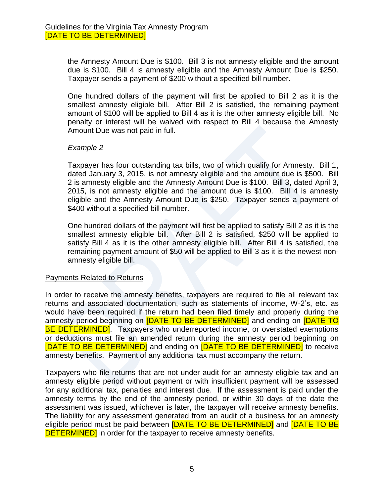the Amnesty Amount Due is \$100. Bill 3 is not amnesty eligible and the amount due is \$100. Bill 4 is amnesty eligible and the Amnesty Amount Due is \$250. Taxpayer sends a payment of \$200 without a specified bill number.

One hundred dollars of the payment will first be applied to Bill 2 as it is the smallest amnesty eligible bill. After Bill 2 is satisfied, the remaining payment amount of \$100 will be applied to Bill 4 as it is the other amnesty eligible bill. No penalty or interest will be waived with respect to Bill 4 because the Amnesty Amount Due was not paid in full.

#### *Example 2*

Taxpayer has four outstanding tax bills, two of which qualify for Amnesty. Bill 1, dated January 3, 2015, is not amnesty eligible and the amount due is \$500. Bill 2 is amnesty eligible and the Amnesty Amount Due is \$100. Bill 3, dated April 3, 2015, is not amnesty eligible and the amount due is \$100. Bill 4 is amnesty eligible and the Amnesty Amount Due is \$250. Taxpayer sends a payment of \$400 without a specified bill number.

One hundred dollars of the payment will first be applied to satisfy Bill 2 as it is the smallest amnesty eligible bill. After Bill 2 is satisfied, \$250 will be applied to satisfy Bill 4 as it is the other amnesty eligible bill. After Bill 4 is satisfied, the remaining payment amount of \$50 will be applied to Bill 3 as it is the newest nonamnesty eligible bill.

#### Payments Related to Returns

In order to receive the amnesty benefits, taxpayers are required to file all relevant tax returns and associated documentation, such as statements of income, W-2's, etc. as would have been required if the return had been filed timely and properly during the amnesty period beginning on [DATE TO BE DETERMINED] and ending on [DATE TO **BE DETERMINED**. Taxpayers who underreported income, or overstated exemptions or deductions must file an amended return during the amnesty period beginning on [DATE TO BE DETERMINED] and ending on [DATE TO BE DETERMINED] to receive amnesty benefits. Payment of any additional tax must accompany the return.

Taxpayers who file returns that are not under audit for an amnesty eligible tax and an amnesty eligible period without payment or with insufficient payment will be assessed for any additional tax, penalties and interest due. If the assessment is paid under the amnesty terms by the end of the amnesty period, or within 30 days of the date the assessment was issued, whichever is later, the taxpayer will receive amnesty benefits. The liability for any assessment generated from an audit of a business for an amnesty eligible period must be paid between **[DATE TO BE DETERMINED]** and **[DATE TO BE DETERMINED** in order for the taxpayer to receive amnesty benefits.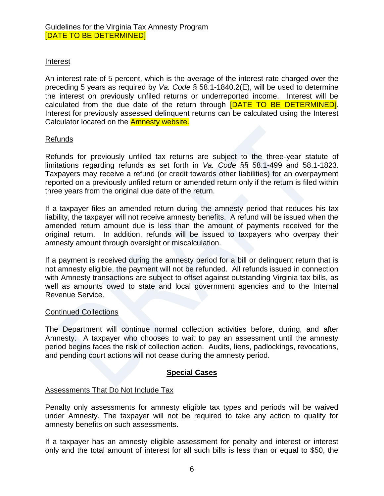# Interest

An interest rate of 5 percent, which is the average of the interest rate charged over the preceding 5 years as required by *Va. Code* § 58.1-1840.2(E), will be used to determine the interest on previously unfiled returns or underreported income. Interest will be calculated from the due date of the return through [DATE TO BE DETERMINED]. Interest for previously assessed delinquent returns can be calculated using the Interest Calculator located on the Amnesty website.

## Refunds

Refunds for previously unfiled tax returns are subject to the three-year statute of limitations regarding refunds as set forth in *Va. Code* §§ 58.1-499 and 58.1-1823. Taxpayers may receive a refund (or credit towards other liabilities) for an overpayment reported on a previously unfiled return or amended return only if the return is filed within three years from the original due date of the return.

If a taxpayer files an amended return during the amnesty period that reduces his tax liability, the taxpayer will not receive amnesty benefits. A refund will be issued when the amended return amount due is less than the amount of payments received for the original return. In addition, refunds will be issued to taxpayers who overpay their amnesty amount through oversight or miscalculation.

If a payment is received during the amnesty period for a bill or delinquent return that is not amnesty eligible, the payment will not be refunded. All refunds issued in connection with Amnesty transactions are subject to offset against outstanding Virginia tax bills, as well as amounts owed to state and local government agencies and to the Internal Revenue Service.

## Continued Collections

The Department will continue normal collection activities before, during, and after Amnesty. A taxpayer who chooses to wait to pay an assessment until the amnesty period begins faces the risk of collection action. Audits, liens, padlockings, revocations, and pending court actions will not cease during the amnesty period.

## **Special Cases**

## Assessments That Do Not Include Tax

Penalty only assessments for amnesty eligible tax types and periods will be waived under Amnesty. The taxpayer will not be required to take any action to qualify for amnesty benefits on such assessments.

If a taxpayer has an amnesty eligible assessment for penalty and interest or interest only and the total amount of interest for all such bills is less than or equal to \$50, the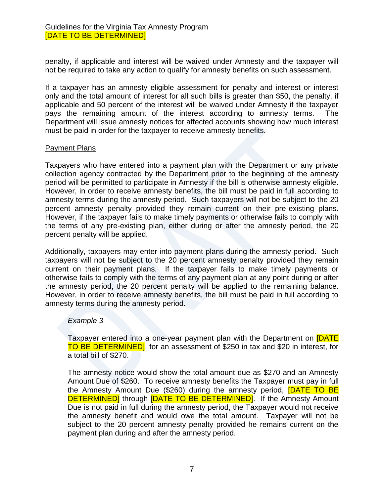penalty, if applicable and interest will be waived under Amnesty and the taxpayer will not be required to take any action to qualify for amnesty benefits on such assessment.

If a taxpayer has an amnesty eligible assessment for penalty and interest or interest only and the total amount of interest for all such bills is greater than \$50, the penalty, if applicable and 50 percent of the interest will be waived under Amnesty if the taxpayer pays the remaining amount of the interest according to amnesty terms. The Department will issue amnesty notices for affected accounts showing how much interest must be paid in order for the taxpayer to receive amnesty benefits.

#### Payment Plans

Taxpayers who have entered into a payment plan with the Department or any private collection agency contracted by the Department prior to the beginning of the amnesty period will be permitted to participate in Amnesty if the bill is otherwise amnesty eligible. However, in order to receive amnesty benefits, the bill must be paid in full according to amnesty terms during the amnesty period. Such taxpayers will not be subject to the 20 percent amnesty penalty provided they remain current on their pre-existing plans. However, if the taxpayer fails to make timely payments or otherwise fails to comply with the terms of any pre-existing plan, either during or after the amnesty period, the 20 percent penalty will be applied.

Additionally, taxpayers may enter into payment plans during the amnesty period. Such taxpayers will not be subject to the 20 percent amnesty penalty provided they remain current on their payment plans. If the taxpayer fails to make timely payments or otherwise fails to comply with the terms of any payment plan at any point during or after the amnesty period, the 20 percent penalty will be applied to the remaining balance. However, in order to receive amnesty benefits, the bill must be paid in full according to amnesty terms during the amnesty period.

## *Example 3*

Taxpayer entered into a one-year payment plan with the Department on **[DATE** TO BE DETERMINED], for an assessment of \$250 in tax and \$20 in interest, for a total bill of \$270.

The amnesty notice would show the total amount due as \$270 and an Amnesty Amount Due of \$260. To receive amnesty benefits the Taxpayer must pay in full the Amnesty Amount Due (\$260) during the amnesty period, **[DATE TO BE DETERMINED** through **[DATE TO BE DETERMINED]**. If the Amnesty Amount Due is not paid in full during the amnesty period, the Taxpayer would not receive the amnesty benefit and would owe the total amount. Taxpayer will not be subject to the 20 percent amnesty penalty provided he remains current on the payment plan during and after the amnesty period.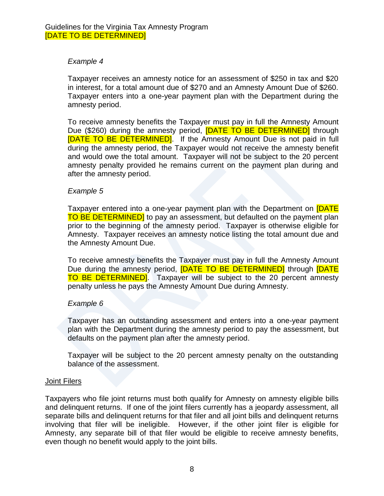# *Example 4*

Taxpayer receives an amnesty notice for an assessment of \$250 in tax and \$20 in interest, for a total amount due of \$270 and an Amnesty Amount Due of \$260. Taxpayer enters into a one-year payment plan with the Department during the amnesty period.

To receive amnesty benefits the Taxpayer must pay in full the Amnesty Amount Due (\$260) during the amnesty period, **[DATE TO BE DETERMINED]** through [DATE TO BE DETERMINED]. If the Amnesty Amount Due is not paid in full during the amnesty period, the Taxpayer would not receive the amnesty benefit and would owe the total amount. Taxpayer will not be subject to the 20 percent amnesty penalty provided he remains current on the payment plan during and after the amnesty period.

## *Example 5*

Taxpayer entered into a one-year payment plan with the Department on **[DATE** TO BE DETERMINED] to pay an assessment, but defaulted on the payment plan prior to the beginning of the amnesty period. Taxpayer is otherwise eligible for Amnesty. Taxpayer receives an amnesty notice listing the total amount due and the Amnesty Amount Due.

To receive amnesty benefits the Taxpayer must pay in full the Amnesty Amount Due during the amnesty period, **[DATE TO BE DETERMINED]** through **[DATE** TO BE DETERMINEDI. Taxpayer will be subject to the 20 percent amnesty penalty unless he pays the Amnesty Amount Due during Amnesty.

#### *Example 6*

Taxpayer has an outstanding assessment and enters into a one-year payment plan with the Department during the amnesty period to pay the assessment, but defaults on the payment plan after the amnesty period.

Taxpayer will be subject to the 20 percent amnesty penalty on the outstanding balance of the assessment.

#### Joint Filers

Taxpayers who file joint returns must both qualify for Amnesty on amnesty eligible bills and delinquent returns. If one of the joint filers currently has a jeopardy assessment, all separate bills and delinquent returns for that filer and all joint bills and delinquent returns involving that filer will be ineligible. However, if the other joint filer is eligible for Amnesty, any separate bill of that filer would be eligible to receive amnesty benefits, even though no benefit would apply to the joint bills.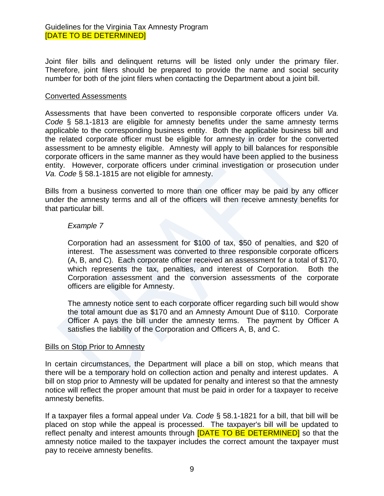Joint filer bills and delinquent returns will be listed only under the primary filer. Therefore, joint filers should be prepared to provide the name and social security number for both of the joint filers when contacting the Department about a joint bill.

#### Converted Assessments

Assessments that have been converted to responsible corporate officers under *Va. Code* § 58.1-1813 are eligible for amnesty benefits under the same amnesty terms applicable to the corresponding business entity. Both the applicable business bill and the related corporate officer must be eligible for amnesty in order for the converted assessment to be amnesty eligible. Amnesty will apply to bill balances for responsible corporate officers in the same manner as they would have been applied to the business entity. However, corporate officers under criminal investigation or prosecution under *Va. Code* § 58.1-1815 are not eligible for amnesty.

Bills from a business converted to more than one officer may be paid by any officer under the amnesty terms and all of the officers will then receive amnesty benefits for that particular bill.

#### *Example 7*

Corporation had an assessment for \$100 of tax, \$50 of penalties, and \$20 of interest. The assessment was converted to three responsible corporate officers (A, B, and C). Each corporate officer received an assessment for a total of \$170, which represents the tax, penalties, and interest of Corporation. Both the Corporation assessment and the conversion assessments of the corporate officers are eligible for Amnesty.

The amnesty notice sent to each corporate officer regarding such bill would show the total amount due as \$170 and an Amnesty Amount Due of \$110. Corporate Officer A pays the bill under the amnesty terms. The payment by Officer A satisfies the liability of the Corporation and Officers A, B, and C.

#### **Bills on Stop Prior to Amnesty**

In certain circumstances, the Department will place a bill on stop, which means that there will be a temporary hold on collection action and penalty and interest updates. A bill on stop prior to Amnesty will be updated for penalty and interest so that the amnesty notice will reflect the proper amount that must be paid in order for a taxpayer to receive amnesty benefits.

If a taxpayer files a formal appeal under *Va. Code* § 58.1-1821 for a bill, that bill will be placed on stop while the appeal is processed. The taxpayer's bill will be updated to reflect penalty and interest amounts through **[DATE TO BE DETERMINED]** so that the amnesty notice mailed to the taxpayer includes the correct amount the taxpayer must pay to receive amnesty benefits.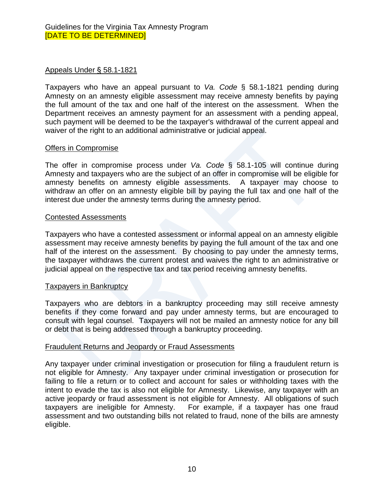# Appeals Under § 58.1-1821

Taxpayers who have an appeal pursuant to *Va. Code* § 58.1-1821 pending during Amnesty on an amnesty eligible assessment may receive amnesty benefits by paying the full amount of the tax and one half of the interest on the assessment. When the Department receives an amnesty payment for an assessment with a pending appeal, such payment will be deemed to be the taxpayer's withdrawal of the current appeal and waiver of the right to an additional administrative or judicial appeal.

#### Offers in Compromise

The offer in compromise process under *Va. Code* § 58.1-105 will continue during Amnesty and taxpayers who are the subject of an offer in compromise will be eligible for amnesty benefits on amnesty eligible assessments. A taxpayer may choose to withdraw an offer on an amnesty eligible bill by paying the full tax and one half of the interest due under the amnesty terms during the amnesty period.

#### Contested Assessments

Taxpayers who have a contested assessment or informal appeal on an amnesty eligible assessment may receive amnesty benefits by paying the full amount of the tax and one half of the interest on the assessment. By choosing to pay under the amnesty terms, the taxpayer withdraws the current protest and waives the right to an administrative or judicial appeal on the respective tax and tax period receiving amnesty benefits.

## Taxpayers in Bankruptcy

Taxpayers who are debtors in a bankruptcy proceeding may still receive amnesty benefits if they come forward and pay under amnesty terms, but are encouraged to consult with legal counsel. Taxpayers will not be mailed an amnesty notice for any bill or debt that is being addressed through a bankruptcy proceeding.

## Fraudulent Returns and Jeopardy or Fraud Assessments

Any taxpayer under criminal investigation or prosecution for filing a fraudulent return is not eligible for Amnesty. Any taxpayer under criminal investigation or prosecution for failing to file a return or to collect and account for sales or withholding taxes with the intent to evade the tax is also not eligible for Amnesty. Likewise, any taxpayer with an active jeopardy or fraud assessment is not eligible for Amnesty. All obligations of such taxpayers are ineligible for Amnesty. For example, if a taxpayer has one fraud assessment and two outstanding bills not related to fraud, none of the bills are amnesty eligible.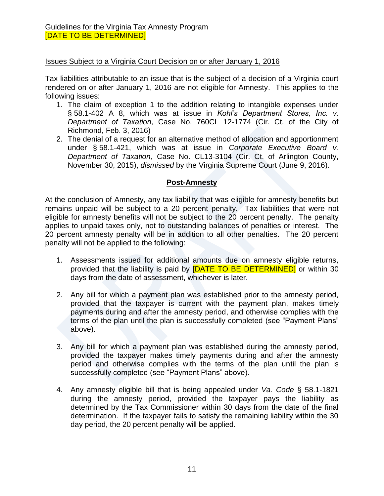# Issues Subject to a Virginia Court Decision on or after January 1, 2016

Tax liabilities attributable to an issue that is the subject of a decision of a Virginia court rendered on or after January 1, 2016 are not eligible for Amnesty. This applies to the following issues:

- 1. The claim of exception 1 to the addition relating to intangible expenses under § 58.1-402 A 8, which was at issue in *Kohl's Department Stores, Inc. v. Department of Taxation*, Case No. 760CL 12-1774 (Cir. Ct. of the City of Richmond, Feb. 3, 2016)
- 2. The denial of a request for an alternative method of allocation and apportionment under § 58.1-421, which was at issue in *Corporate Executive Board v. Department of Taxation*, Case No. CL13-3104 (Cir. Ct. of Arlington County, November 30, 2015), *dismissed* by the Virginia Supreme Court (June 9, 2016).

# **Post-Amnesty**

At the conclusion of Amnesty, any tax liability that was eligible for amnesty benefits but remains unpaid will be subject to a 20 percent penalty. Tax liabilities that were not eligible for amnesty benefits will not be subject to the 20 percent penalty. The penalty applies to unpaid taxes only, not to outstanding balances of penalties or interest. The 20 percent amnesty penalty will be in addition to all other penalties. The 20 percent penalty will not be applied to the following:

- 1. Assessments issued for additional amounts due on amnesty eligible returns, provided that the liability is paid by **[DATE TO BE DETERMINED]** or within 30 days from the date of assessment, whichever is later.
- 2. Any bill for which a payment plan was established prior to the amnesty period, provided that the taxpayer is current with the payment plan, makes timely payments during and after the amnesty period, and otherwise complies with the terms of the plan until the plan is successfully completed (see "Payment Plans" above).
- 3. Any bill for which a payment plan was established during the amnesty period, provided the taxpayer makes timely payments during and after the amnesty period and otherwise complies with the terms of the plan until the plan is successfully completed (see "Payment Plans" above).
- 4. Any amnesty eligible bill that is being appealed under *Va. Code* § 58.1-1821 during the amnesty period, provided the taxpayer pays the liability as determined by the Tax Commissioner within 30 days from the date of the final determination. If the taxpayer fails to satisfy the remaining liability within the 30 day period, the 20 percent penalty will be applied.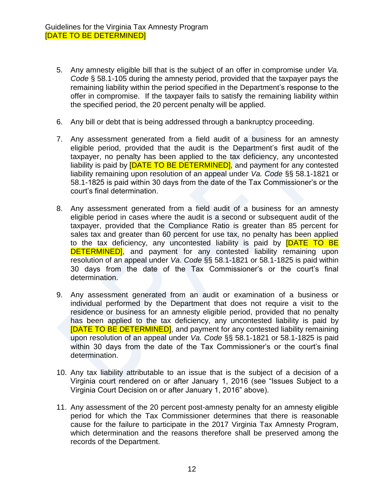- 5. Any amnesty eligible bill that is the subject of an offer in compromise under *Va. Code* § 58.1-105 during the amnesty period, provided that the taxpayer pays the remaining liability within the period specified in the Department's response to the offer in compromise. If the taxpayer fails to satisfy the remaining liability within the specified period, the 20 percent penalty will be applied.
- 6. Any bill or debt that is being addressed through a bankruptcy proceeding.
- 7. Any assessment generated from a field audit of a business for an amnesty eligible period, provided that the audit is the Department's first audit of the taxpayer, no penalty has been applied to the tax deficiency, any uncontested liability is paid by **[DATE TO BE DETERMINED]**, and payment for any contested liability remaining upon resolution of an appeal under *Va. Code* §§ 58.1-1821 or 58.1-1825 is paid within 30 days from the date of the Tax Commissioner's or the court's final determination.
- 8. Any assessment generated from a field audit of a business for an amnesty eligible period in cases where the audit is a second or subsequent audit of the taxpayer, provided that the Compliance Ratio is greater than 85 percent for sales tax and greater than 60 percent for use tax, no penalty has been applied to the tax deficiency, any uncontested liability is paid by **[DATE TO BE DETERMINED**, and payment for any contested liability remaining upon resolution of an appeal under *Va. Code* §§ 58.1-1821 or 58.1-1825 is paid within 30 days from the date of the Tax Commissioner's or the court's final determination.
- 9. Any assessment generated from an audit or examination of a business or individual performed by the Department that does not require a visit to the residence or business for an amnesty eligible period, provided that no penalty has been applied to the tax deficiency, any uncontested liability is paid by [DATE TO BE DETERMINED], and payment for any contested liability remaining upon resolution of an appeal under *Va. Code* §§ 58.1-1821 or 58.1-1825 is paid within 30 days from the date of the Tax Commissioner's or the court's final determination.
- 10. Any tax liability attributable to an issue that is the subject of a decision of a Virginia court rendered on or after January 1, 2016 (see "Issues Subject to a Virginia Court Decision on or after January 1, 2016" above).
- 11. Any assessment of the 20 percent post-amnesty penalty for an amnesty eligible period for which the Tax Commissioner determines that there is reasonable cause for the failure to participate in the 2017 Virginia Tax Amnesty Program, which determination and the reasons therefore shall be preserved among the records of the Department.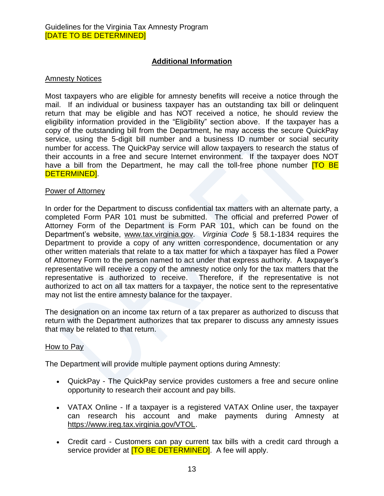# **Additional Information**

#### Amnesty Notices

Most taxpayers who are eligible for amnesty benefits will receive a notice through the mail. If an individual or business taxpayer has an outstanding tax bill or delinquent return that may be eligible and has NOT received a notice, he should review the eligibility information provided in the "Eligibility" section above. If the taxpayer has a copy of the outstanding bill from the Department, he may access the secure QuickPay service, using the 5-digit bill number and a business ID number or social security number for access. The QuickPay service will allow taxpayers to research the status of their accounts in a free and secure Internet environment. If the taxpayer does NOT have a bill from the Department, he may call the toll-free phone number  $TO BE$ DETERMINED].

#### Power of Attorney

In order for the Department to discuss confidential tax matters with an alternate party, a completed Form PAR 101 must be submitted. The official and preferred Power of Attorney Form of the Department is Form PAR 101, which can be found on the Department's website, [www.tax.virginia.gov.](http://www.tax.virginia.gov/) *Virginia Code* § 58.1-1834 requires the Department to provide a copy of any written correspondence, documentation or any other written materials that relate to a tax matter for which a taxpayer has filed a Power of Attorney Form to the person named to act under that express authority. A taxpayer's representative will receive a copy of the amnesty notice only for the tax matters that the representative is authorized to receive. Therefore, if the representative is not authorized to act on all tax matters for a taxpayer, the notice sent to the representative may not list the entire amnesty balance for the taxpayer.

The designation on an income tax return of a tax preparer as authorized to discuss that return with the Department authorizes that tax preparer to discuss any amnesty issues that may be related to that return.

#### How to Pay

The Department will provide multiple payment options during Amnesty:

- QuickPay The QuickPay service provides customers a free and secure online opportunity to research their account and pay bills.
- VATAX Online If a taxpayer is a registered VATAX Online user, the taxpayer can research his account and make payments during Amnesty at [https://www.ireg.tax.virginia.gov/VTOL.](https://www.ireg.tax.virginia.gov/VTOL)
- Credit card Customers can pay current tax bills with a credit card through a service provider at **ITO BE DETERMINED**. A fee will apply.